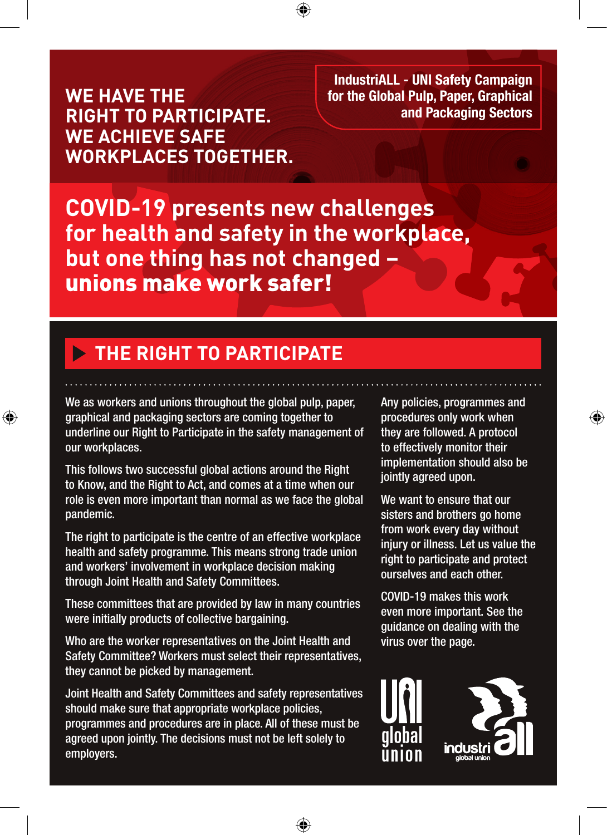**WE HAVE THE RIGHT TO PARTICIPATE. WE ACHIEVE SAFE WORKPLACES TOGETHER.**

**IndustriALL - UNI Safety Campaign for the Global Pulp, Paper, Graphical and Packaging Sectors**

**COVID-19 presents new challenges for health and safety in the workplace, but one thing has not changed –**  unions make work safer!

⊕

## **THE RIGHT TO PARTICIPATE**

We as workers and unions throughout the global pulp, paper, graphical and packaging sectors are coming together to underline our Right to Participate in the safety management of our workplaces.

⊕

This follows two successful global actions around the Right to Know, and the Right to Act, and comes at a time when our role is even more important than normal as we face the global pandemic.

The right to participate is the centre of an effective workplace health and safety programme. This means strong trade union and workers' involvement in workplace decision making through Joint Health and Safety Committees.

These committees that are provided by law in many countries were initially products of collective bargaining.

Who are the worker representatives on the Joint Health and Safety Committee? Workers must select their representatives, they cannot be picked by management.

Joint Health and Safety Committees and safety representatives should make sure that appropriate workplace policies, programmes and procedures are in place. All of these must be agreed upon jointly. The decisions must not be left solely to employers.

◈

Any policies, programmes and procedures only work when they are followed. A protocol to effectively monitor their implementation should also be jointly agreed upon.

♠

We want to ensure that our sisters and brothers go home from work every day without injury or illness. Let us value the right to participate and protect ourselves and each other.

COVID-19 makes this work even more important. See the guidance on dealing with the virus over the page.